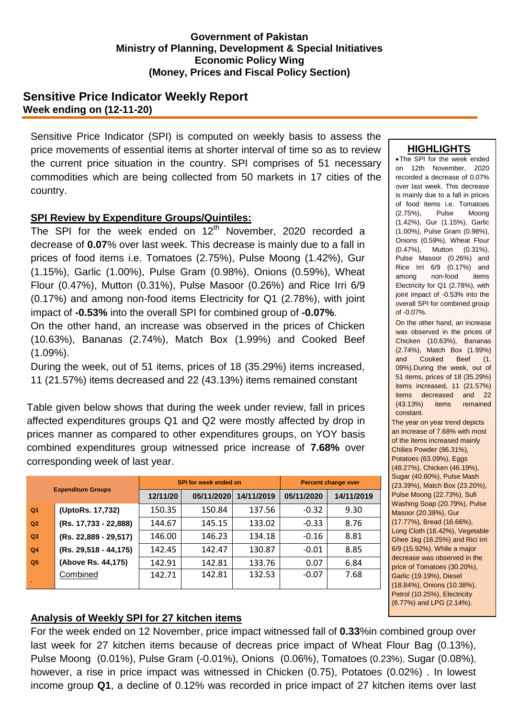#### **Government of Pakistan Ministry of Planning, Development & Special Initiatives Economic Policy Wing (Money, Prices and Fiscal Policy Section)**

## **Sensitive Price Indicator Weekly Report Week ending on (12-11-20)**

Sensitive Price Indicator (SPI) is computed on weekly basis to assess the price movements of essential items at shorter interval of time so as to review the current price situation in the country. SPI comprises of 51 necessary commodities which are being collected from 50 markets in 17 cities of the country.

### **SPI Review by Expenditure Groups/Quintiles:**

The SPI for the week ended on  $12<sup>th</sup>$  November, 2020 recorded a decrease of **0.07**% over last week. This decrease is mainly due to a fall in prices of food items i.e. Tomatoes (2.75%), Pulse Moong (1.42%), Gur (1.15%), Garlic (1.00%), Pulse Gram (0.98%), Onions (0.59%), Wheat Flour (0.47%), Mutton (0.31%), Pulse Masoor (0.26%) and Rice Irri 6/9 (0.17%) and among non-food items Electricity for Q1 (2.78%), with joint impact of **-0.53%** into the overall SPI for combined group of **-0.07%**. On the other hand, an increase was observed in the prices of Chicken (10.63%), Bananas (2.74%), Match Box (1.99%) and Cooked Beef (1.09%).

During the week, out of 51 items, prices of 18 (35.29%) items increased, 11 (21.57%) items decreased and 22 (43.13%) items remained constant

Table given below shows that during the week under review, fall in prices affected expenditures groups Q1 and Q2 were mostly affected by drop in prices manner as compared to other expenditures groups, on YOY basis combined expenditures group witnessed price increase of **7.68%** over corresponding week of last year.

| <b>Expenditure Groups</b> |                         |          | <b>SPI for week ended on</b> | <b>Percent change over</b> |            |            |  |
|---------------------------|-------------------------|----------|------------------------------|----------------------------|------------|------------|--|
|                           |                         | 12/11/20 | 05/11/2020                   | 14/11/2019                 | 05/11/2020 | 14/11/2019 |  |
| Q <sub>1</sub>            | (UptoRs. 17,732)        | 150.35   | 150.84                       | 137.56                     | $-0.32$    | 9.30       |  |
| Q2                        | (Rs. 17,733 - 22,888)   | 144.67   | 145.15                       | 133.02                     | $-0.33$    | 8.76       |  |
| Q3                        | (Rs. 22,889 - 29,517)   | 146.00   | 146.23                       | 134.18                     | $-0.16$    | 8.81       |  |
| Q <sub>4</sub>            | $(Rs. 29,518 - 44,175)$ | 142.45   | 142.47                       | 130.87                     | $-0.01$    | 8.85       |  |
| Q <sub>5</sub>            | (Above Rs. 44,175)      | 142.91   | 142.81                       | 133.76                     | 0.07       | 6.84       |  |
|                           | Combined                | 142.71   | 142.81                       | 132.53                     | $-0.07$    | 7.68       |  |
|                           |                         |          |                              |                            |            |            |  |

#### **HIGHLIGHTS**

The SPI for the week ended on 12th November, 2020 recorded a decrease of 0.07% over last week. This decrease is mainly due to a fall in prices of food items i.e. Tomatoes (2.75%), Pulse Moong (1.42%), Gur (1.15%), Garlic (1.00%), Pulse Gram (0.98%), Onions (0.59%), Wheat Flour (0.47%), Mutton (0.31%), Pulse Masoor (0.26%) and Rice Irri 6/9 (0.17%) and among non-food items Electricity for Q1 (2.78%), with joint impact of -0.53% into the overall SPI for combined group of -0.07%.

 On the other hand, an increase was observed in the prices of Chicken (10.63%), Bananas (2.74%), Match Box (1.99%) and Cooked Beef (1. 09%).During the week, out of 51 items, prices of 18 (35.29%) items increased, 11 (21.57%) items decreased and 22 (43.13%) items remained constant.

 The year on year trend depicts an increase of 7.68% with most of the items increased mainly Chilies Powder (86.31%), Potatoes (63.09%), Eggs (48.27%), Chicken (46.19%), Sugar (40.60%), Pulse Mash (23.39%), Match Box (23.20%), Pulse Moong (22.73%), Sufi Washing Soap (20.79%), Pulse Masoor (20.38%), Gur (17.77%), Bread (16.66%), Long Cloth (16.42%), Vegetable Ghee 1kg (16.25%) and Rici Irri 6/9 (15.92%). While a major decrease was observed in the price of Tomatoes (30.20%), Garlic (19.19%), Diesel (18.84%), Onions (10.38%), Petrol (10.25%), Electricity (8.77%) and LPG (2.14%).

# **Analysis of Weekly SPI for 27 kitchen items**

For the week ended on 12 November, price impact witnessed fall of **0.33**%in combined group over last week for 27 kitchen items because of decreas price impact of Wheat Flour Bag (0.13%), Pulse Moong (0.01%), Pulse Gram (-0.01%), Onions (0.06%), Tomatoes (0.23%), Sugar (0.08%), however, a rise in price impact was witnessed in Chicken (0.75), Potatoes (0.02%) . In lowest income group **Q1**, a decline of 0.12% was recorded in price impact of 27 kitchen items over last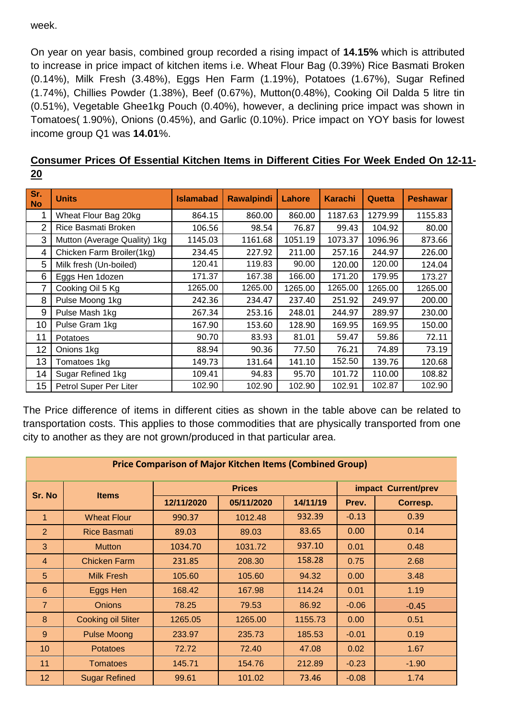week.

On year on year basis, combined group recorded a rising impact of **14.15%** which is attributed to increase in price impact of kitchen items i.e. Wheat Flour Bag (0.39%) Rice Basmati Broken (0.14%), Milk Fresh (3.48%), Eggs Hen Farm (1.19%), Potatoes (1.67%), Sugar Refined (1.74%), Chillies Powder (1.38%), Beef (0.67%), Mutton(0.48%), Cooking Oil Dalda 5 litre tin (0.51%), Vegetable Ghee1kg Pouch (0.40%), however, a declining price impact was shown in Tomatoes( 1.90%), Onions (0.45%), and Garlic (0.10%). Price impact on YOY basis for lowest income group Q1 was **14.01**%.

| Consumer Prices Of Essential Kitchen Items in Different Cities For Week Ended On 12-11- |  |  |  |  |  |  |  |
|-----------------------------------------------------------------------------------------|--|--|--|--|--|--|--|
| 20<br>$\sim$ $\sim$ $\sim$ $\sim$ $\sim$                                                |  |  |  |  |  |  |  |

| Sr.<br><b>No</b> | <b>Units</b>                 | <b>Islamabad</b> | <b>Rawalpindi</b> | <b>Lahore</b> | <b>Karachi</b> | Quetta  | <b>Peshawar</b> |
|------------------|------------------------------|------------------|-------------------|---------------|----------------|---------|-----------------|
| 1                | Wheat Flour Bag 20kg         | 864.15           | 860.00            | 860.00        | 1187.63        | 1279.99 | 1155.83         |
| 2                | Rice Basmati Broken          | 106.56           | 98.54             | 76.87         | 99.43          | 104.92  | 80.00           |
| 3                | Mutton (Average Quality) 1kg | 1145.03          | 1161.68           | 1051.19       | 1073.37        | 1096.96 | 873.66          |
| 4                | Chicken Farm Broiler(1kg)    | 234.45           | 227.92            | 211.00        | 257.16         | 244.97  | 226.00          |
| 5                | Milk fresh (Un-boiled)       | 120.41           | 119.83            | 90.00         | 120.00         | 120.00  | 124.04          |
| 6                | Eggs Hen 1dozen              | 171.37           | 167.38            | 166.00        | 171.20         | 179.95  | 173.27          |
| 7                | Cooking Oil 5 Kg             | 1265.00          | 1265.00           | 1265.00       | 1265.00        | 1265.00 | 1265.00         |
| 8                | Pulse Moong 1kg              | 242.36           | 234.47            | 237.40        | 251.92         | 249.97  | 200.00          |
| 9                | Pulse Mash 1kg               | 267.34           | 253.16            | 248.01        | 244.97         | 289.97  | 230.00          |
| 10               | Pulse Gram 1kg               | 167.90           | 153.60            | 128.90        | 169.95         | 169.95  | 150.00          |
| 11               | Potatoes                     | 90.70            | 83.93             | 81.01         | 59.47          | 59.86   | 72.11           |
| 12               | Onions 1kg                   | 88.94            | 90.36             | 77.50         | 76.21          | 74.89   | 73.19           |
| 13               | Tomatoes 1kg                 | 149.73           | 131.64            | 141.10        | 152.50         | 139.76  | 120.68          |
| 14               | Sugar Refined 1kg            | 109.41           | 94.83             | 95.70         | 101.72         | 110.00  | 108.82          |
| 15               | Petrol Super Per Liter       | 102.90           | 102.90            | 102.90        | 102.91         | 102.87  | 102.90          |

The Price difference of items in different cities as shown in the table above can be related to transportation costs. This applies to those commodities that are physically transported from one city to another as they are not grown/produced in that particular area.

| <b>Price Comparison of Major Kitchen Items (Combined Group)</b> |                      |            |                        |                     |         |          |  |  |  |
|-----------------------------------------------------------------|----------------------|------------|------------------------|---------------------|---------|----------|--|--|--|
| Sr. No                                                          |                      |            | <b>Prices</b>          | impact Current/prev |         |          |  |  |  |
|                                                                 | <b>Items</b>         | 12/11/2020 | 05/11/2020<br>14/11/19 |                     | Prev.   | Corresp. |  |  |  |
| 1                                                               | <b>Wheat Flour</b>   | 990.37     | 1012.48                | 932.39              | $-0.13$ | 0.39     |  |  |  |
| $\overline{2}$                                                  | <b>Rice Basmati</b>  | 89.03      | 89.03                  | 83.65               | 0.00    | 0.14     |  |  |  |
| 3                                                               | <b>Mutton</b>        | 1034.70    | 1031.72                | 937.10              | 0.01    | 0.48     |  |  |  |
| $\overline{4}$                                                  | <b>Chicken Farm</b>  | 231.85     | 208.30                 | 158.28              | 0.75    | 2.68     |  |  |  |
| 5                                                               | <b>Milk Fresh</b>    | 105.60     | 105.60                 | 94.32               | 0.00    | 3.48     |  |  |  |
| 6                                                               | Eggs Hen             | 168.42     | 167.98                 | 114.24              | 0.01    | 1.19     |  |  |  |
| $\overline{7}$                                                  | <b>Onions</b>        | 78.25      | 79.53                  | 86.92               | $-0.06$ | $-0.45$  |  |  |  |
| 8                                                               | Cooking oil 5liter   | 1265.05    | 1265.00                | 1155.73             | 0.00    | 0.51     |  |  |  |
| 9                                                               | <b>Pulse Moong</b>   | 233.97     | 235.73                 | 185.53              | $-0.01$ | 0.19     |  |  |  |
| 10                                                              | <b>Potatoes</b>      | 72.72      | 72.40                  | 47.08               | 0.02    | 1.67     |  |  |  |
| 11                                                              | <b>Tomatoes</b>      | 145.71     | 154.76                 | 212.89              | $-0.23$ | $-1.90$  |  |  |  |
| 12 <sub>2</sub>                                                 | <b>Sugar Refined</b> | 99.61      | 101.02                 | 73.46               | $-0.08$ | 1.74     |  |  |  |